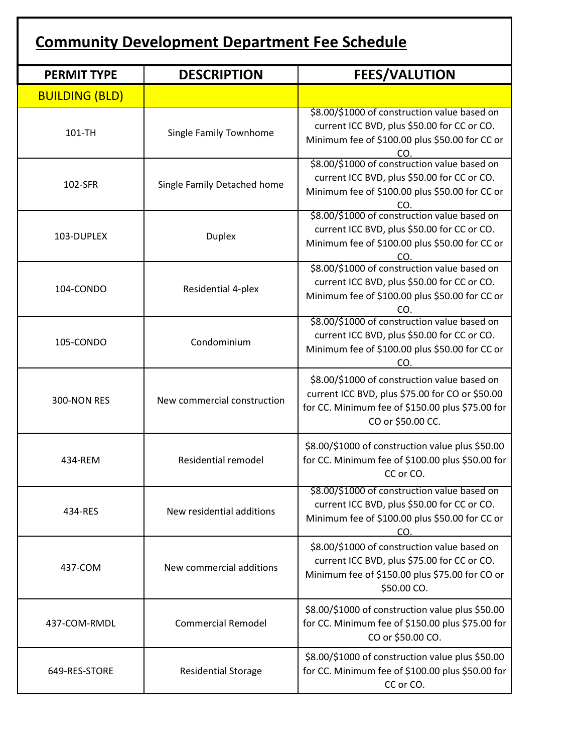## **Community Development Department Fee Schedule**

| <b>PERMIT TYPE</b>    | <b>DESCRIPTION</b>            | <b>FEES/VALUTION</b>                                                                                                                                                     |
|-----------------------|-------------------------------|--------------------------------------------------------------------------------------------------------------------------------------------------------------------------|
| <b>BUILDING (BLD)</b> |                               |                                                                                                                                                                          |
| 101-TH                | <b>Single Family Townhome</b> | \$8.00/\$1000 of construction value based on<br>current ICC BVD, plus \$50.00 for CC or CO.<br>Minimum fee of \$100.00 plus \$50.00 for CC or                            |
| 102-SFR               | Single Family Detached home   | \$8.00/\$1000 of construction value based on<br>current ICC BVD, plus \$50.00 for CC or CO.<br>Minimum fee of \$100.00 plus \$50.00 for CC or<br>CO.                     |
| 103-DUPLEX            | <b>Duplex</b>                 | \$8.00/\$1000 of construction value based on<br>current ICC BVD, plus \$50.00 for CC or CO.<br>Minimum fee of \$100.00 plus \$50.00 for CC or<br>CO.                     |
| 104-CONDO             | Residential 4-plex            | \$8.00/\$1000 of construction value based on<br>current ICC BVD, plus \$50.00 for CC or CO.<br>Minimum fee of \$100.00 plus \$50.00 for CC or<br>CO.                     |
| 105-CONDO             | Condominium                   | \$8.00/\$1000 of construction value based on<br>current ICC BVD, plus \$50.00 for CC or CO.<br>Minimum fee of \$100.00 plus \$50.00 for CC or<br>CO.                     |
| 300-NON RES           | New commercial construction   | \$8.00/\$1000 of construction value based on<br>current ICC BVD, plus \$75.00 for CO or \$50.00<br>for CC. Minimum fee of \$150.00 plus \$75.00 for<br>CO or \$50.00 CC. |
| 434-REM               | Residential remodel           | \$8.00/\$1000 of construction value plus \$50.00<br>for CC. Minimum fee of \$100.00 plus \$50.00 for<br>CC or CO.                                                        |
| 434-RES               | New residential additions     | \$8.00/\$1000 of construction value based on<br>current ICC BVD, plus \$50.00 for CC or CO.<br>Minimum fee of \$100.00 plus \$50.00 for CC or<br>ററ                      |
| 437-COM               | New commercial additions      | \$8.00/\$1000 of construction value based on<br>current ICC BVD, plus \$75.00 for CC or CO.<br>Minimum fee of \$150.00 plus \$75.00 for CO or<br>\$50.00 CO.             |
| 437-COM-RMDL          | <b>Commercial Remodel</b>     | \$8.00/\$1000 of construction value plus \$50.00<br>for CC. Minimum fee of \$150.00 plus \$75.00 for<br>CO or \$50.00 CO.                                                |
| 649-RES-STORE         | <b>Residential Storage</b>    | \$8.00/\$1000 of construction value plus \$50.00<br>for CC. Minimum fee of \$100.00 plus \$50.00 for<br>CC or CO.                                                        |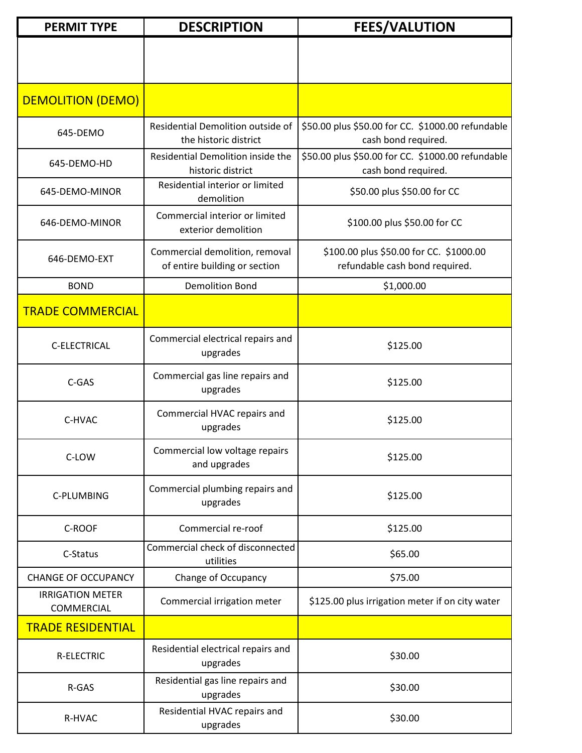| <b>PERMIT TYPE</b>                    | <b>DESCRIPTION</b>                                              | <b>FEES/VALUTION</b>                                                      |
|---------------------------------------|-----------------------------------------------------------------|---------------------------------------------------------------------------|
|                                       |                                                                 |                                                                           |
|                                       |                                                                 |                                                                           |
| <b>DEMOLITION (DEMO)</b>              |                                                                 |                                                                           |
| 645-DEMO                              | Residential Demolition outside of<br>the historic district      | \$50.00 plus \$50.00 for CC. \$1000.00 refundable<br>cash bond required.  |
| 645-DEMO-HD                           | Residential Demolition inside the<br>historic district          | \$50.00 plus \$50.00 for CC. \$1000.00 refundable<br>cash bond required.  |
| 645-DEMO-MINOR                        | Residential interior or limited<br>demolition                   | \$50.00 plus \$50.00 for CC                                               |
| 646-DEMO-MINOR                        | Commercial interior or limited<br>exterior demolition           | \$100.00 plus \$50.00 for CC                                              |
| 646-DEMO-EXT                          | Commercial demolition, removal<br>of entire building or section | \$100.00 plus \$50.00 for CC. \$1000.00<br>refundable cash bond required. |
| <b>BOND</b>                           | <b>Demolition Bond</b>                                          | \$1,000.00                                                                |
| <b>TRADE COMMERCIAL</b>               |                                                                 |                                                                           |
| C-ELECTRICAL                          | Commercial electrical repairs and<br>upgrades                   | \$125.00                                                                  |
| C-GAS                                 | Commercial gas line repairs and<br>upgrades                     | \$125.00                                                                  |
| C-HVAC                                | Commercial HVAC repairs and<br>upgrades                         | \$125.00                                                                  |
| C-LOW                                 | Commercial low voltage repairs<br>and upgrades                  | \$125.00                                                                  |
| C-PLUMBING                            | Commercial plumbing repairs and<br>upgrades                     | \$125.00                                                                  |
| C-ROOF                                | Commercial re-roof                                              | \$125.00                                                                  |
| C-Status                              | Commercial check of disconnected<br>utilities                   | \$65.00                                                                   |
| <b>CHANGE OF OCCUPANCY</b>            | Change of Occupancy                                             | \$75.00                                                                   |
| <b>IRRIGATION METER</b><br>COMMERCIAL | Commercial irrigation meter                                     | \$125.00 plus irrigation meter if on city water                           |
| <b>TRADE RESIDENTIAL</b>              |                                                                 |                                                                           |
| R-ELECTRIC                            | Residential electrical repairs and<br>upgrades                  | \$30.00                                                                   |
| R-GAS                                 | Residential gas line repairs and<br>upgrades                    | \$30.00                                                                   |
| R-HVAC                                | Residential HVAC repairs and<br>upgrades                        | \$30.00                                                                   |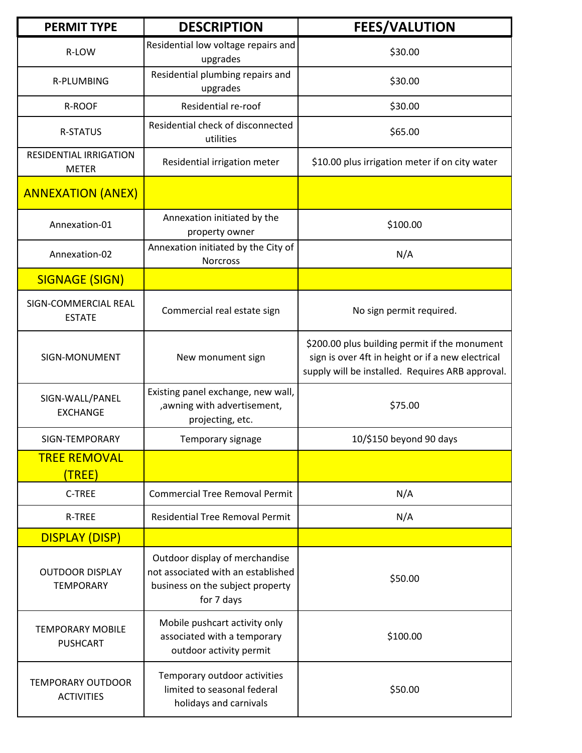| <b>PERMIT TYPE</b>                            | <b>DESCRIPTION</b>                                                                                                     | <b>FEES/VALUTION</b>                                                                                                                                   |
|-----------------------------------------------|------------------------------------------------------------------------------------------------------------------------|--------------------------------------------------------------------------------------------------------------------------------------------------------|
| R-LOW                                         | Residential low voltage repairs and<br>upgrades                                                                        | \$30.00                                                                                                                                                |
| <b>R-PLUMBING</b>                             | Residential plumbing repairs and<br>upgrades                                                                           | \$30.00                                                                                                                                                |
| <b>R-ROOF</b>                                 | Residential re-roof                                                                                                    | \$30.00                                                                                                                                                |
| <b>R-STATUS</b>                               | Residential check of disconnected<br>utilities                                                                         | \$65.00                                                                                                                                                |
| <b>RESIDENTIAL IRRIGATION</b><br><b>METER</b> | Residential irrigation meter                                                                                           | \$10.00 plus irrigation meter if on city water                                                                                                         |
| <b>ANNEXATION (ANEX)</b>                      |                                                                                                                        |                                                                                                                                                        |
| Annexation-01                                 | Annexation initiated by the<br>property owner                                                                          | \$100.00                                                                                                                                               |
| Annexation-02                                 | Annexation initiated by the City of<br><b>Norcross</b>                                                                 | N/A                                                                                                                                                    |
| <b>SIGNAGE (SIGN)</b>                         |                                                                                                                        |                                                                                                                                                        |
| SIGN-COMMERCIAL REAL<br><b>ESTATE</b>         | Commercial real estate sign                                                                                            | No sign permit required.                                                                                                                               |
| SIGN-MONUMENT                                 | New monument sign                                                                                                      | \$200.00 plus building permit if the monument<br>sign is over 4ft in height or if a new electrical<br>supply will be installed. Requires ARB approval. |
| SIGN-WALL/PANEL<br><b>EXCHANGE</b>            | Existing panel exchange, new wall,<br>, awning with advertisement,<br>projecting, etc.                                 | \$75.00                                                                                                                                                |
| SIGN-TEMPORARY                                | Temporary signage                                                                                                      | 10/\$150 beyond 90 days                                                                                                                                |
| <b>TREE REMOVAL</b><br>(TREE)                 |                                                                                                                        |                                                                                                                                                        |
| C-TREE                                        | <b>Commercial Tree Removal Permit</b>                                                                                  | N/A                                                                                                                                                    |
| <b>R-TREE</b>                                 | <b>Residential Tree Removal Permit</b>                                                                                 | N/A                                                                                                                                                    |
| DISPLAY (DISP)                                |                                                                                                                        |                                                                                                                                                        |
| <b>OUTDOOR DISPLAY</b><br><b>TEMPORARY</b>    | Outdoor display of merchandise<br>not associated with an established<br>business on the subject property<br>for 7 days | \$50.00                                                                                                                                                |
| <b>TEMPORARY MOBILE</b><br><b>PUSHCART</b>    | Mobile pushcart activity only<br>associated with a temporary<br>outdoor activity permit                                | \$100.00                                                                                                                                               |
| <b>TEMPORARY OUTDOOR</b><br><b>ACTIVITIES</b> | Temporary outdoor activities<br>limited to seasonal federal<br>holidays and carnivals                                  | \$50.00                                                                                                                                                |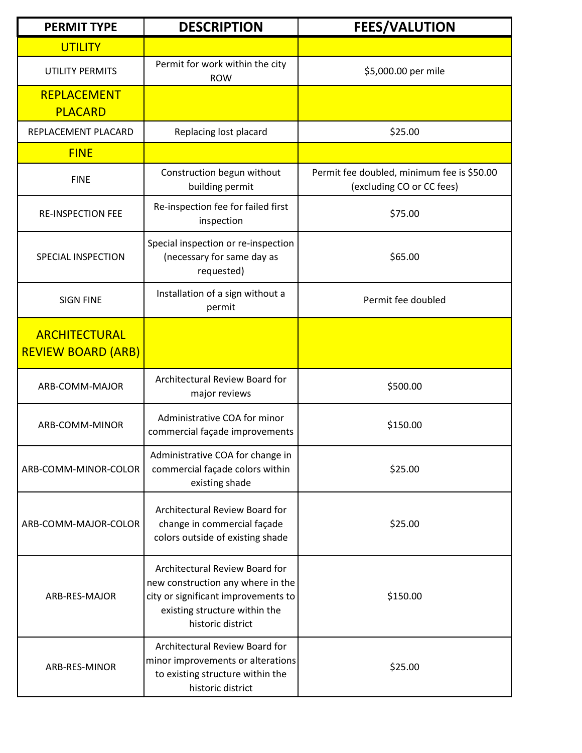| <b>PERMIT TYPE</b>                         | <b>DESCRIPTION</b>                                                                                                                                               | <b>FEES/VALUTION</b>                                                    |
|--------------------------------------------|------------------------------------------------------------------------------------------------------------------------------------------------------------------|-------------------------------------------------------------------------|
| <b>UTILITY</b>                             |                                                                                                                                                                  |                                                                         |
| UTILITY PERMITS                            | Permit for work within the city<br><b>ROW</b>                                                                                                                    | \$5,000.00 per mile                                                     |
| <b>REPLACEMENT</b><br><b>PLACARD</b>       |                                                                                                                                                                  |                                                                         |
| REPLACEMENT PLACARD                        | Replacing lost placard                                                                                                                                           | \$25.00                                                                 |
| <b>FINE</b>                                |                                                                                                                                                                  |                                                                         |
| <b>FINE</b>                                | Construction begun without<br>building permit                                                                                                                    | Permit fee doubled, minimum fee is \$50.00<br>(excluding CO or CC fees) |
| <b>RE-INSPECTION FEE</b>                   | Re-inspection fee for failed first<br>inspection                                                                                                                 | \$75.00                                                                 |
| SPECIAL INSPECTION                         | Special inspection or re-inspection<br>(necessary for same day as<br>requested)                                                                                  | \$65.00                                                                 |
| <b>SIGN FINE</b>                           | Installation of a sign without a<br>permit                                                                                                                       | Permit fee doubled                                                      |
| ARCHITECTURAL<br><b>REVIEW BOARD (ARB)</b> |                                                                                                                                                                  |                                                                         |
| ARB-COMM-MAJOR                             | Architectural Review Board for<br>major reviews                                                                                                                  | \$500.00                                                                |
| ARB-COMM-MINOR                             | Administrative COA for minor<br>commercial façade improvements                                                                                                   | \$150.00                                                                |
| ARB-COMM-MINOR-COLOR                       | Administrative COA for change in<br>commercial façade colors within<br>existing shade                                                                            | \$25.00                                                                 |
| ARB-COMM-MAJOR-COLOR                       | Architectural Review Board for<br>change in commercial façade<br>colors outside of existing shade                                                                | \$25.00                                                                 |
| ARB-RES-MAJOR                              | Architectural Review Board for<br>new construction any where in the<br>city or significant improvements to<br>existing structure within the<br>historic district | \$150.00                                                                |
| ARB-RES-MINOR                              | Architectural Review Board for<br>minor improvements or alterations<br>to existing structure within the<br>historic district                                     | \$25.00                                                                 |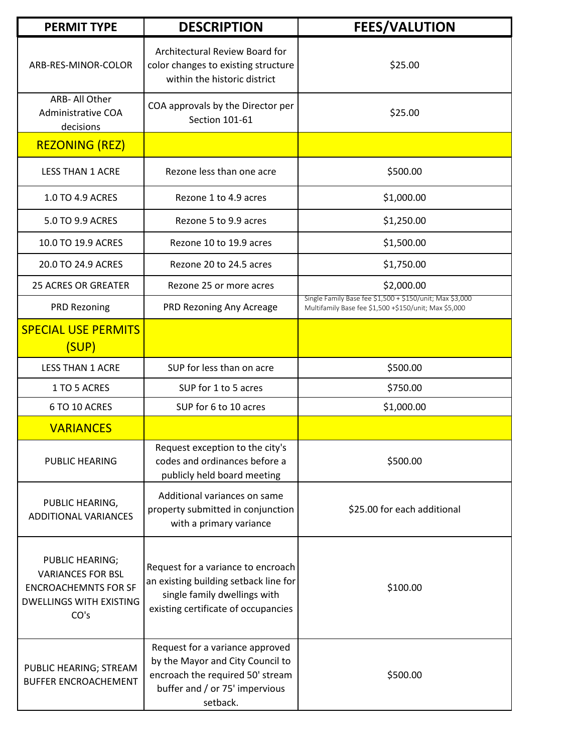| <b>PERMIT TYPE</b>                                                                                                   | <b>DESCRIPTION</b>                                                                                                                                    | <b>FEES/VALUTION</b>                                                                                              |
|----------------------------------------------------------------------------------------------------------------------|-------------------------------------------------------------------------------------------------------------------------------------------------------|-------------------------------------------------------------------------------------------------------------------|
| ARB-RES-MINOR-COLOR                                                                                                  | Architectural Review Board for<br>color changes to existing structure<br>within the historic district                                                 | \$25.00                                                                                                           |
| ARB- All Other<br><b>Administrative COA</b><br>decisions                                                             | COA approvals by the Director per<br>Section 101-61                                                                                                   | \$25.00                                                                                                           |
| <b>REZONING (REZ)</b>                                                                                                |                                                                                                                                                       |                                                                                                                   |
| <b>LESS THAN 1 ACRE</b>                                                                                              | Rezone less than one acre                                                                                                                             | \$500.00                                                                                                          |
| 1.0 TO 4.9 ACRES                                                                                                     | Rezone 1 to 4.9 acres                                                                                                                                 | \$1,000.00                                                                                                        |
| 5.0 TO 9.9 ACRES                                                                                                     | Rezone 5 to 9.9 acres                                                                                                                                 | \$1,250.00                                                                                                        |
| 10.0 TO 19.9 ACRES                                                                                                   | Rezone 10 to 19.9 acres                                                                                                                               | \$1,500.00                                                                                                        |
| 20.0 TO 24.9 ACRES                                                                                                   | Rezone 20 to 24.5 acres                                                                                                                               | \$1,750.00                                                                                                        |
| <b>25 ACRES OR GREATER</b>                                                                                           | Rezone 25 or more acres                                                                                                                               | \$2,000.00                                                                                                        |
| <b>PRD Rezoning</b>                                                                                                  | PRD Rezoning Any Acreage                                                                                                                              | Single Family Base fee \$1,500 + \$150/unit; Max \$3,000<br>Multifamily Base fee \$1,500 +\$150/unit; Max \$5,000 |
| <b>SPECIAL USE PERMITS</b><br>(SUP)                                                                                  |                                                                                                                                                       |                                                                                                                   |
| <b>LESS THAN 1 ACRE</b>                                                                                              | SUP for less than on acre                                                                                                                             | \$500.00                                                                                                          |
| 1 TO 5 ACRES                                                                                                         | SUP for 1 to 5 acres                                                                                                                                  | \$750.00                                                                                                          |
| 6 TO 10 ACRES                                                                                                        | SUP for 6 to 10 acres                                                                                                                                 | \$1,000.00                                                                                                        |
| <b>VARIANCES</b>                                                                                                     |                                                                                                                                                       |                                                                                                                   |
| PUBLIC HEARING                                                                                                       | Request exception to the city's<br>codes and ordinances before a<br>publicly held board meeting                                                       | \$500.00                                                                                                          |
| PUBLIC HEARING,<br><b>ADDITIONAL VARIANCES</b>                                                                       | Additional variances on same<br>property submitted in conjunction<br>with a primary variance                                                          | \$25.00 for each additional                                                                                       |
| PUBLIC HEARING;<br><b>VARIANCES FOR BSL</b><br><b>ENCROACHEMNTS FOR SF</b><br><b>DWELLINGS WITH EXISTING</b><br>CO's | Request for a variance to encroach<br>an existing building setback line for<br>single family dwellings with<br>existing certificate of occupancies    | \$100.00                                                                                                          |
| PUBLIC HEARING; STREAM<br><b>BUFFER ENCROACHEMENT</b>                                                                | Request for a variance approved<br>by the Mayor and City Council to<br>encroach the required 50' stream<br>buffer and / or 75' impervious<br>setback. | \$500.00                                                                                                          |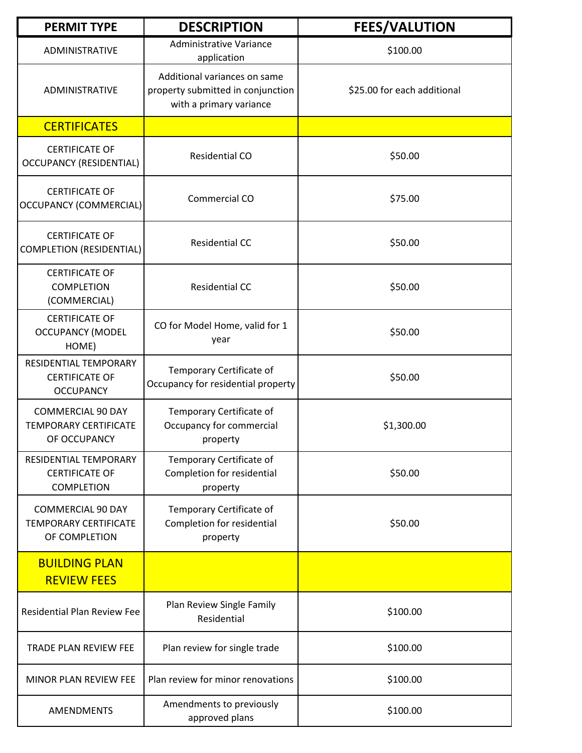| <b>PERMIT TYPE</b>                                                        | <b>DESCRIPTION</b>                                                                           | <b>FEES/VALUTION</b>        |
|---------------------------------------------------------------------------|----------------------------------------------------------------------------------------------|-----------------------------|
| ADMINISTRATIVE                                                            | Administrative Variance<br>application                                                       | \$100.00                    |
| ADMINISTRATIVE                                                            | Additional variances on same<br>property submitted in conjunction<br>with a primary variance | \$25.00 for each additional |
| <b>CERTIFICATES</b>                                                       |                                                                                              |                             |
| <b>CERTIFICATE OF</b><br><b>OCCUPANCY (RESIDENTIAL)</b>                   | <b>Residential CO</b>                                                                        | \$50.00                     |
| <b>CERTIFICATE OF</b><br><b>OCCUPANCY (COMMERCIAL)</b>                    | Commercial CO                                                                                | \$75.00                     |
| <b>CERTIFICATE OF</b><br><b>COMPLETION (RESIDENTIAL)</b>                  | <b>Residential CC</b>                                                                        | \$50.00                     |
| <b>CERTIFICATE OF</b><br><b>COMPLETION</b><br>(COMMERCIAL)                | <b>Residential CC</b>                                                                        | \$50.00                     |
| <b>CERTIFICATE OF</b><br><b>OCCUPANCY (MODEL</b><br>HOME)                 | CO for Model Home, valid for 1<br>year                                                       | \$50.00                     |
| RESIDENTIAL TEMPORARY<br><b>CERTIFICATE OF</b><br><b>OCCUPANCY</b>        | Temporary Certificate of<br>Occupancy for residential property                               | \$50.00                     |
| <b>COMMERCIAL 90 DAY</b><br><b>TEMPORARY CERTIFICATE</b><br>OF OCCUPANCY  | Temporary Certificate of<br>Occupancy for commercial<br>property                             | \$1,300.00                  |
| RESIDENTIAL TEMPORARY<br><b>CERTIFICATE OF</b><br><b>COMPLETION</b>       | Temporary Certificate of<br>Completion for residential<br>property                           | \$50.00                     |
| <b>COMMERCIAL 90 DAY</b><br><b>TEMPORARY CERTIFICATE</b><br>OF COMPLETION | Temporary Certificate of<br>Completion for residential<br>property                           | \$50.00                     |
| <b>BUILDING PLAN</b><br><b>REVIEW FEES</b>                                |                                                                                              |                             |
| <b>Residential Plan Review Fee</b>                                        | Plan Review Single Family<br>Residential                                                     | \$100.00                    |
| TRADE PLAN REVIEW FEE                                                     | Plan review for single trade                                                                 | \$100.00                    |
| <b>MINOR PLAN REVIEW FEE</b>                                              | Plan review for minor renovations                                                            | \$100.00                    |
| <b>AMENDMENTS</b>                                                         | Amendments to previously<br>approved plans                                                   | \$100.00                    |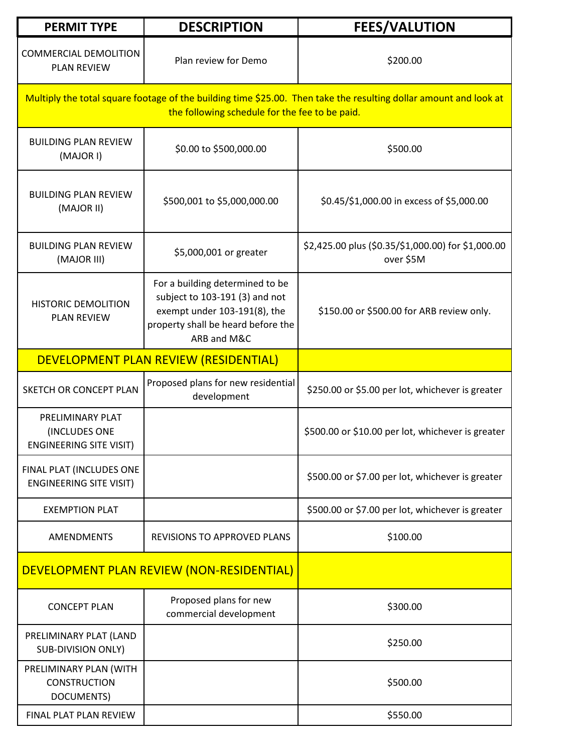| <b>PERMIT TYPE</b>                                                                                                                                                  | <b>DESCRIPTION</b>                                                                                                                                     | <b>FEES/VALUTION</b>                                            |
|---------------------------------------------------------------------------------------------------------------------------------------------------------------------|--------------------------------------------------------------------------------------------------------------------------------------------------------|-----------------------------------------------------------------|
| <b>COMMERCIAL DEMOLITION</b><br><b>PLAN REVIEW</b>                                                                                                                  | Plan review for Demo                                                                                                                                   | \$200.00                                                        |
| Multiply the total square footage of the building time \$25.00. Then take the resulting dollar amount and look at<br>the following schedule for the fee to be paid. |                                                                                                                                                        |                                                                 |
| <b>BUILDING PLAN REVIEW</b><br>(MAJOR I)                                                                                                                            | \$0.00 to \$500,000.00                                                                                                                                 | \$500.00                                                        |
| <b>BUILDING PLAN REVIEW</b><br>(MAJOR II)                                                                                                                           | \$500,001 to \$5,000,000.00                                                                                                                            | \$0.45/\$1,000.00 in excess of \$5,000.00                       |
| <b>BUILDING PLAN REVIEW</b><br>(MAJOR III)                                                                                                                          | \$5,000,001 or greater                                                                                                                                 | \$2,425.00 plus (\$0.35/\$1,000.00) for \$1,000.00<br>over \$5M |
| <b>HISTORIC DEMOLITION</b><br><b>PLAN REVIEW</b>                                                                                                                    | For a building determined to be<br>subject to 103-191 (3) and not<br>exempt under 103-191(8), the<br>property shall be heard before the<br>ARB and M&C | \$150.00 or \$500.00 for ARB review only.                       |
|                                                                                                                                                                     | DEVELOPMENT PLAN REVIEW (RESIDENTIAL)                                                                                                                  |                                                                 |
| <b>SKETCH OR CONCEPT PLAN</b>                                                                                                                                       | Proposed plans for new residential<br>development                                                                                                      | \$250.00 or \$5.00 per lot, whichever is greater                |
| PRELIMINARY PLAT<br>(INCLUDES ONE<br><b>ENGINEERING SITE VISIT)</b>                                                                                                 |                                                                                                                                                        | \$500.00 or \$10.00 per lot, whichever is greater               |
| FINAL PLAT (INCLUDES ONE<br><b>ENGINEERING SITE VISIT)</b>                                                                                                          |                                                                                                                                                        | \$500.00 or \$7.00 per lot, whichever is greater                |
| <b>EXEMPTION PLAT</b>                                                                                                                                               |                                                                                                                                                        | \$500.00 or \$7.00 per lot, whichever is greater                |
| AMENDMENTS                                                                                                                                                          | REVISIONS TO APPROVED PLANS                                                                                                                            | \$100.00                                                        |
| DEVELOPMENT PLAN REVIEW (NON-RESIDENTIAL)                                                                                                                           |                                                                                                                                                        |                                                                 |
| <b>CONCEPT PLAN</b>                                                                                                                                                 | Proposed plans for new<br>commercial development                                                                                                       | \$300.00                                                        |
| PRELIMINARY PLAT (LAND<br><b>SUB-DIVISION ONLY)</b>                                                                                                                 |                                                                                                                                                        | \$250.00                                                        |
| PRELIMINARY PLAN (WITH<br><b>CONSTRUCTION</b><br>DOCUMENTS)                                                                                                         |                                                                                                                                                        | \$500.00                                                        |
| FINAL PLAT PLAN REVIEW                                                                                                                                              |                                                                                                                                                        | \$550.00                                                        |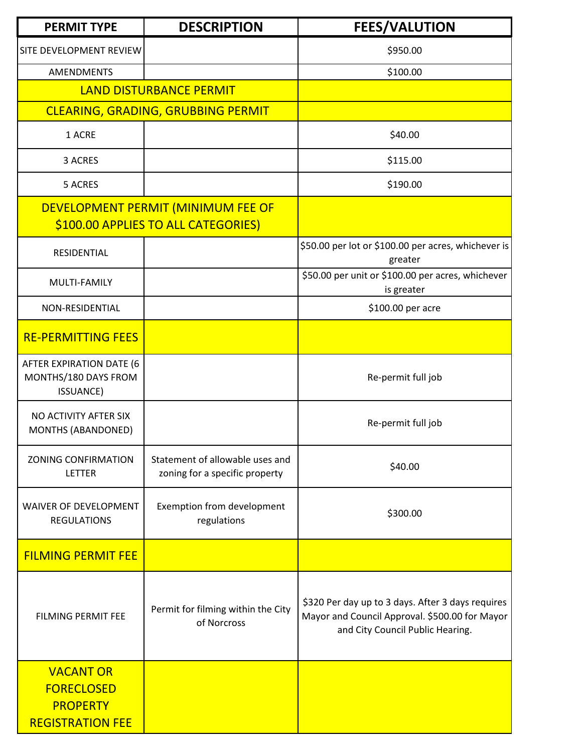| <b>PERMIT TYPE</b>                                                                  | <b>DESCRIPTION</b>                                                        | <b>FEES/VALUTION</b>                                                                                                                    |
|-------------------------------------------------------------------------------------|---------------------------------------------------------------------------|-----------------------------------------------------------------------------------------------------------------------------------------|
| SITE DEVELOPMENT REVIEW                                                             |                                                                           | \$950.00                                                                                                                                |
| <b>AMENDMENTS</b>                                                                   |                                                                           | \$100.00                                                                                                                                |
|                                                                                     | <b>LAND DISTURBANCE PERMIT</b>                                            |                                                                                                                                         |
|                                                                                     | CLEARING, GRADING, GRUBBING PERMIT                                        |                                                                                                                                         |
| 1 ACRE                                                                              |                                                                           | \$40.00                                                                                                                                 |
| 3 ACRES                                                                             |                                                                           | \$115.00                                                                                                                                |
| 5 ACRES                                                                             |                                                                           | \$190.00                                                                                                                                |
|                                                                                     | DEVELOPMENT PERMIT (MINIMUM FEE OF<br>\$100.00 APPLIES TO ALL CATEGORIES) |                                                                                                                                         |
| RESIDENTIAL                                                                         |                                                                           | \$50.00 per lot or \$100.00 per acres, whichever is<br>greater                                                                          |
| MULTI-FAMILY                                                                        |                                                                           | \$50.00 per unit or \$100.00 per acres, whichever<br>is greater                                                                         |
| NON-RESIDENTIAL                                                                     |                                                                           | \$100.00 per acre                                                                                                                       |
| <b>RE-PERMITTING FEES</b>                                                           |                                                                           |                                                                                                                                         |
| AFTER EXPIRATION DATE (6<br>MONTHS/180 DAYS FROM<br>ISSUANCE)                       |                                                                           | Re-permit full job                                                                                                                      |
| NO ACTIVITY AFTER SIX<br><b>MONTHS (ABANDONED)</b>                                  |                                                                           | Re-permit full job                                                                                                                      |
| <b>ZONING CONFIRMATION</b><br><b>LETTER</b>                                         | Statement of allowable uses and<br>zoning for a specific property         | \$40.00                                                                                                                                 |
| <b>WAIVER OF DEVELOPMENT</b><br><b>REGULATIONS</b>                                  | Exemption from development<br>regulations                                 | \$300.00                                                                                                                                |
| <b>FILMING PERMIT FEE</b>                                                           |                                                                           |                                                                                                                                         |
| <b>FILMING PERMIT FEE</b>                                                           | Permit for filming within the City<br>of Norcross                         | \$320 Per day up to 3 days. After 3 days requires<br>Mayor and Council Approval. \$500.00 for Mayor<br>and City Council Public Hearing. |
| <b>VACANT OR</b><br><b>FORECLOSED</b><br><b>PROPERTY</b><br><b>REGISTRATION FEE</b> |                                                                           |                                                                                                                                         |